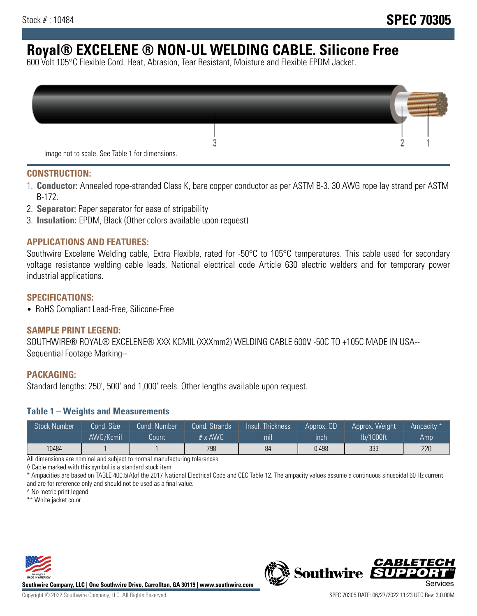# **Royal® EXCELENE ® NON-UL WELDING CABLE. Silicone Free**

600 Volt 105°C Flexible Cord. Heat, Abrasion, Tear Resistant, Moisture and Flexible EPDM Jacket.

| Image not to scale. See Table 1 for dimensions. |  |
|-------------------------------------------------|--|

#### **CONSTRUCTION:**

- 1. **Conductor:** Annealed rope-stranded Class K, bare copper conductor as per ASTM B-3. 30 AWG rope lay strand per ASTM B-172.
- 2. **Separator:** Paper separator for ease of stripability
- 3. **Insulation:** EPDM, Black (Other colors available upon request)

#### **APPLICATIONS AND FEATURES:**

Southwire Excelene Welding cable, Extra Flexible, rated for -50°C to 105°C temperatures. This cable used for secondary voltage resistance welding cable leads, National electrical code Article 630 electric welders and for temporary power industrial applications.

#### **SPECIFICATIONS:**

• RoHS Compliant Lead-Free, Silicone-Free

#### **SAMPLE PRINT LEGEND:**

SOUTHWIRE® ROYAL® EXCELENE® XXX KCMIL (XXXmm2) WELDING CABLE 600V -50C TO +105C MADE IN USA-- Sequential Footage Marking--

#### **PACKAGING:**

Standard lengths: 250', 500' and 1,000' reels. Other lengths available upon request.

#### **Table 1 – Weights and Measurements**

| <b>Stock Number</b> | Cond. Size' | Cond. Number | Cond. Strands   | <b>Thickness</b><br>/Insul. | Approx. OD | Approx. Weight | Ampacity * |
|---------------------|-------------|--------------|-----------------|-----------------------------|------------|----------------|------------|
|                     | AWG/Kcmil   | Count        | $# \times$ AWG. | m <sub>l</sub>              | inch       | lb/1000ft      | Amp        |
| 10484               |             |              | 798             | 84                          | 0.498      | 333            | 220        |

All dimensions are nominal and subject to normal manufacturing tolerances

◊ Cable marked with this symbol is a standard stock item

\* Ampacities are based on TABLE 400.5(A)of the 2017 National Electrical Code and CEC Table 12. The ampacity values assume a continuous sinusoidal 60 Hz current and are for reference only and should not be used as a final value.

^ No metric print legend

\*\* White jacket color



**Southwire Company, LLC | One Southwire Drive, Carrollton, GA 30119 | www.southwire.com**



*CABLETE*